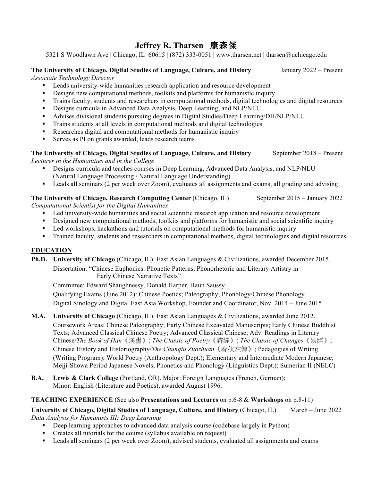## **Jeffrey R. Tharsen** 康森傑

5321 S Woodlawn Ave | Chicago, IL 60615 | (872) 333-0051 | www.tharsen.net | tharsen@uchicago.edu

#### **The University of Chicago, Digital Studies of Language, Culture, and History** January 2022 – Present

*Associate Technology Director*

- Leads university-wide humanities research application and resource development
- Designs new computational methods, toolkits and platforms for humanistic inquiry
- § Trains faculty, students and researchers in computational methods, digital technologies and digital resources
- Designs curricula in Advanced Data Analysis, Deep Learning, and NLP/NLU
- § Advises divisional students pursuing degrees in Digital Studies/Deep Learning/DH/NLP/NLU
- Trains students at all levels in computational methods and digital technologies
- Researches digital and computational methods for humanistic inquiry
- Serves as PI on grants awarded, leads research teams

#### The University of Chicago, Digital Studies of Language, Culture, and History September 2018 – Present *Lecturer in the Humanities and in the College*

- Designs curricula and teaches courses in Deep Learning, Advanced Data Analysis, and NLP/NLU (Natural Language Processing / Natural Language Understanding)
- Leads all seminars (2 per week over Zoom), evaluates all assignments and exams, all grading and advising

## **The University of Chicago, Research Computing Center** (Chicago, IL) September 2015 – January 2022

*Computational Scientist for the Digital Humanities*

- Led university-wide humanities and social scientific research application and resource development
- Designed new computational methods, toolkits and platforms for humanistic and social scientific inquiry
- Led workshops, hackathons and tutorials on computational methods for humanistic inquiry
- § Trained faculty, students and researchers in computational methods, digital technologies and digital resources

## **EDUCATION**

**Ph.D. University of Chicago** (Chicago, IL): East Asian Languages & Civilizations, awarded December 2015. Dissertation: "Chinese Euphonics: Phonetic Patterns, Phonorhetoric and Literary Artistry in Early Chinese Narrative Texts"

Committee: Edward Shaughnessy, Donald Harper, Haun Saussy Qualifying Exams (June 2012): Chinese Poetics; Paleography; Phonology/Chinese Phonology Digital Sinology and Digital East Asia Workshop, Founder and Coordinator, Nov. 2014 – June 2015

- **M.A. University of Chicago** (Chicago, IL): East Asian Languages & Civilizations, awarded June 2012. Coursework Areas: Chinese Paleography; Early Chinese Excavated Manuscripts; Early Chinese Buddhist Texts; Advanced Classical Chinese Poetry; Advanced Classical Chinese; Adv. Readings in Literary Chinese/*The Book of Han*《漢書》; *The Classic of Poetry*《詩經》; *The Classic of Changes*《易經》; Chinese History and Historiography/*The Chunqiu Zuozhuan*《春秋左傳》; Pedagogies of Writing (Writing Program); World Poetry (Anthropology Dept.); Elementary and Intermediate Modern Japanese; Meiji-Showa Period Japanese Novels; Phonetics and Phonology (Linguistics Dept.); Sumerian II (NELC)
- **B.A. Lewis & Clark College** (Portland, OR). Major: Foreign Languages (French, German); Minor: English (Literature and Poetics), awarded August 1996.

## **TEACHING EXPERIENCE** (See also **Presentations and Lectures** on p.6-8 & **Workshops** on p.8-11)

**University of Chicago, Digital Studies of Language, Culture, and History** (Chicago, IL) March – June 2022 *Data Analysis for Humanists III: Deep Learning* 

- Deep learning approaches to advanced data analysis course (codebase largely in Python)
- Creates all tutorials for the course (syllabus available on request)
- Leads all seminars (2 per week over Zoom), advised students, evaluated all assignments and exams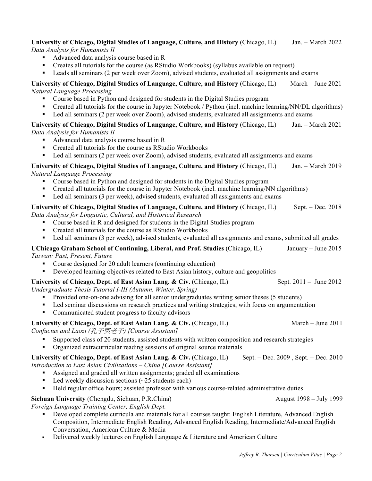#### **University of Chicago, Digital Studies of Language, Culture, and History** (Chicago, IL) Jan. – March 2022 *Data Analysis for Humanists II*

§ Advanced data analysis course based in R

- Creates all tutorials for the course (as RStudio Workbooks) (syllabus available on request)
- Leads all seminars (2 per week over Zoom), advised students, evaluated all assignments and exams

## **University of Chicago, Digital Studies of Language, Culture, and History** (Chicago, IL) March – June 2021 *Natural Language Processing*

- Course based in Python and designed for students in the Digital Studies program
- Created all tutorials for the course in Jupyter Notebook / Python (incl. machine learning/NN/DL algorithms)
- Led all seminars (2 per week over Zoom), advised students, evaluated all assignments and exams

## **University of Chicago, Digital Studies of Language, Culture, and History** (Chicago, IL) Jan. – March 2021 *Data Analysis for Humanists II*

- Advanced data analysis course based in R
- Created all tutorials for the course as RStudio Workbooks
- Led all seminars (2 per week over Zoom), advised students, evaluated all assignments and exams

## **University of Chicago, Digital Studies of Language, Culture, and History** (Chicago, IL) Jan. – March 2019 *Natural Language Processing*

- Course based in Python and designed for students in the Digital Studies program
- Created all tutorials for the course in Jupyter Notebook (incl. machine learning/NN algorithms)
- Led all seminars (3 per week), advised students, evaluated all assignments and exams

# **University of Chicago, Digital Studies of Language, Culture, and History** (Chicago, IL) Sept. – Dec. 2018

*Data Analysis for Linguistic, Cultural, and Historical Research*

- Course based in R and designed for students in the Digital Studies program
- Created all tutorials for the course as RStudio Workbooks
- Led all seminars (3 per week), advised students, evaluated all assignments and exams, submitted all grades

## **UChicago Graham School of Continuing, Liberal, and Prof. Studies** (Chicago, IL) January – June 2015 *Taiwan: Past, Present, Future*

- § Course designed for 20 adult learners (continuing education)
- Developed learning objectives related to East Asian history, culture and geopolitics

#### **University of Chicago, Dept. of East Asian Lang. & Civ.** (Chicago, IL) Sept. 2011 – June 2012 *Undergraduate Thesis Tutorial I-III (Autumn, Winter, Spring)*

- Provided one-on-one advising for all senior undergraduates writing senior theses (5 students)
- Led seminar discussions on research practices and writing strategies, with focus on argumentation
- Communicated student progress to faculty advisors

## **University of Chicago, Dept. of East Asian Lang. & Civ.** (Chicago, IL) March – June 2011

*Confucius and Laozi (*孔子與老子*) [Course Assistant]*

- § Supported class of 20 students, assisted students with written composition and research strategies
- § Organized extracurricular reading sessions of original source materials

## **University of Chicago, Dept. of East Asian Lang. & Civ.** (Chicago, IL) Sept. – Dec. 2009 , Sept. – Dec. 2010 *Introduction to East Asian Civilizations – China [Course Assistant]*

- § Assigned and graded all written assignments; graded all examinations
- Eed weekly discussion sections  $(\sim 25 \text{ students each})$
- Held regular office hours; assisted professor with various course-related administrative duties

## **Sichuan University** (Chengdu, Sichuan, P.R.China) August 1998 – July 1999 – July 1999

*Foreign Language Training Center, English Dept.*

- Developed complete curricula and materials for all courses taught: English Literature, Advanced English Composition, Intermediate English Reading, Advanced English Reading, Intermediate/Advanced English Conversation, American Culture & Media
- **•** Delivered weekly lectures on English Language  $\&$  Literature and American Culture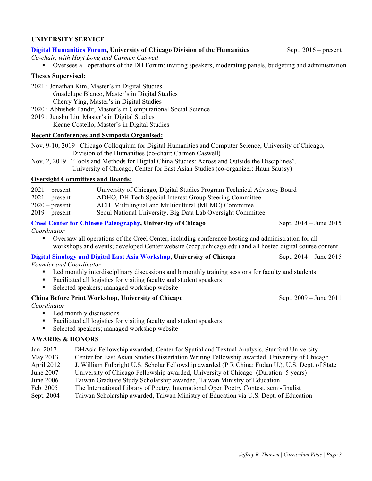## **UNIVERSITY SERVICE**

## **Digital Humanities Forum, University of Chicago Division of the Humanities** Sept. 2016 – present

*Co-chair, with Hoyt Long and Carmen Caswell*

§ Oversees all operations of the DH Forum: inviting speakers, moderating panels, budgeting and administration

## **Theses Supervised:**

- 2021 : Jonathan Kim, Master's in Digital Studies Guadelupe Blanco, Master's in Digital Studies Cherry Ying, Master's in Digital Studies
- 2020 : Abhishek Pandit, Master's in Computational Social Science
- 2019 : Junshu Liu, Master's in Digital Studies
	- Keane Costello, Master's in Digital Studies

## **Recent Conferences and Symposia Organised:**

- Nov. 9-10, 2019 Chicago Colloquium for Digital Humanities and Computer Science, University of Chicago, Division of the Humanities (co-chair: Carmen Caswell)
- Nov. 2, 2019 "Tools and Methods for Digital China Studies: Across and Outside the Disciplines", University of Chicago, Center for East Asian Studies (co-organizer: Haun Saussy)

## **Oversight Committees and Boards:**

- 2021 present University of Chicago, Digital Studies Program Technical Advisory Board
- 2021 present ADHO, DH Tech Special Interest Group Steering Committee
- 2020 present ACH, Multilingual and Multicultural (MLMC) Committee
- 2019 present Seoul National University, Big Data Lab Oversight Committee

## **Creel Center for Chinese Paleography, University of Chicago** Sept. 2014 – June 2015

*Coordinator*

§ Oversaw all operations of the Creel Center, including conference hosting and administration for all workshops and events; developed Center website (cccp.uchicago.edu) and all hosted digital course content

## **Digital Sinology and Digital East Asia Workshop, University of Chicago** Sept. 2014 – June 2015

*Founder and Coordinator*

- Led monthly interdisciplinary discussions and bimonthly training sessions for faculty and students
- Facilitated all logistics for visiting faculty and student speakers
- Selected speakers; managed workshop website

## **China Before Print Workshop, University of Chicago** Sept. 2009 – June 2011

*Coordinator*

- Led monthly discussions
- Facilitated all logistics for visiting faculty and student speakers
- Selected speakers; managed workshop website

## **AWARDS & HONORS**

- Jan. 2017 DHAsia Fellowship awarded, Center for Spatial and Textual Analysis, Stanford University
- May 2013 Center for East Asian Studies Dissertation Writing Fellowship awarded, University of Chicago
- April 2012 J. William Fulbright U.S. Scholar Fellowship awarded (P.R.China: Fudan U.), U.S. Dept. of State
- June 2007 University of Chicago Fellowship awarded, University of Chicago (Duration: 5 years)
- June 2006 Taiwan Graduate Study Scholarship awarded, Taiwan Ministry of Education
- Feb. 2005 The International Library of Poetry, International Open Poetry Contest, semi-finalist
- Sept. 2004 Taiwan Scholarship awarded, Taiwan Ministry of Education via U.S. Dept. of Education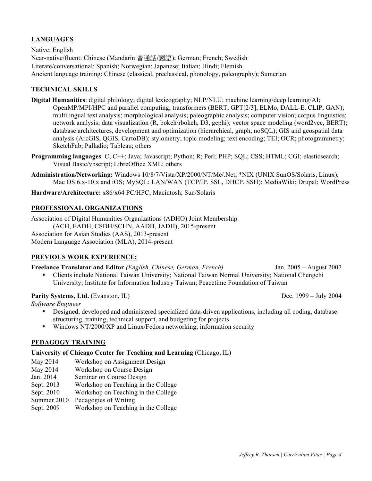## **LANGUAGES**

Native: English Near-native/fluent: Chinese (Mandarin 普通話/國語); German; French; Swedish Literate/conversational: Spanish; Norwegian; Japanese; Italian; Hindi; Flemish Ancient language training: Chinese (classical, preclassical, phonology, paleography); Sumerian

#### **TECHNICAL SKILLS**

- **Digital Humanities**: digital philology; digital lexicography; NLP/NLU; machine learning/deep learning/AI; OpenMP/MPI/HPC and parallel computing; transformers (BERT, GPT[2/3], ELMo, DALL-E, CLIP, GAN); multilingual text analysis; morphological analysis; paleographic analysis; computer vision; corpus linguistics; network analysis; data visualization (R, bokeh/rbokeh, D3, gephi); vector space modeling (word2vec, BERT); database architectures, development and optimization (hierarchical, graph, noSQL); GIS and geospatial data analysis (ArcGIS, QGIS, CartoDB); stylometry; topic modeling; text encoding; TEI; OCR; photogrammetry; SketchFab; Palladio; Tableau; others
- **Programming languages**: C; C++; Java; Javascript; Python; R; Perl; PHP; SQL; CSS; HTML; CGI; elasticsearch; Visual Basic/vbscript; LibreOffice XML; others
- **Administration/Networking:** Windows 10/8/7/Vista/XP/2000/NT/Me/.Net; \*NIX (UNIX SunOS/Solaris, Linux); Mac OS 6.x-10.x and iOS; MySQL; LAN/WAN (TCP/IP, SSL, DHCP, SSH); MediaWiki; Drupal; WordPress

**Hardware/Architecture:** x86/x64 PC/HPC; Macintosh; Sun/Solaris

#### **PROFESSIONAL ORGANIZATIONS**

Association of Digital Humanities Organizations (ADHO) Joint Membership (ACH, EADH, CSDH/SCHN, AADH, JADH), 2015-present Association for Asian Studies (AAS), 2013-present Modern Language Association (MLA), 2014-present

#### **PREVIOUS WORK EXPERIENCE:**

#### **Freelance Translator and Editor** *(English, Chinese, German, French)* Jan. 2005 – August 2007

§ Clients include National Taiwan University; National Taiwan Normal University; National Chengchi University; Institute for Information Industry Taiwan; Peacetime Foundation of Taiwan

#### **Parity Systems, Ltd.** (Evanston, IL) Dec. 1999 – July 2004

*Software Engineer*

- Designed, developed and administered specialized data-driven applications, including all coding, database structuring, training, technical support, and budgeting for projects
- § Windows NT/2000/XP and Linux/Fedora networking; information security

## **PEDAGOGY TRAINING**

#### **University of Chicago Center for Teaching and Learning** (Chicago, IL)

May 2014 Workshop on Assignment Design

- May 2014 Workshop on Course Design
- Jan. 2014 Seminar on Course Design
- Sept. 2013 Workshop on Teaching in the College
- Sept. 2010 Workshop on Teaching in the College
- Summer 2010 Pedagogies of Writing
- Sept. 2009 Workshop on Teaching in the College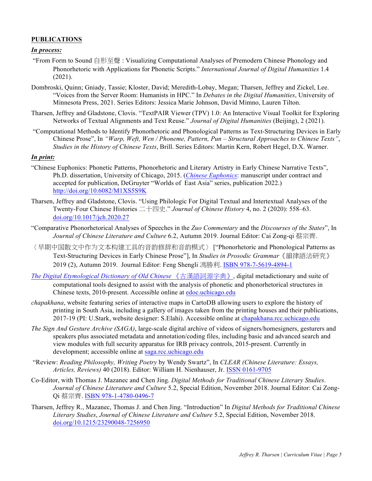#### **PUBLICATIONS**

#### *In process:*

- "From Form to Sound 自形至聲 : Visualizing Computational Analyses of Premodern Chinese Phonology and Phonorhetoric with Applications for Phonetic Scripts." *International Journal of Digital Humanities* 1.4 (2021).
- Dombroski, Quinn; Gniady, Tassie; Kloster, David; Meredith-Lobay, Megan; Tharsen, Jeffrey and Zickel, Lee. "Voices from the Server Room: Humanists in HPC." In *Debates in the Digital Humanities*, University of Minnesota Press, 2021. Series Editors: Jessica Marie Johnson, David Mimno, Lauren Tilton.
- Tharsen, Jeffrey and Gladstone, Clovis. "TextPAIR Viewer (TPV) 1.0: An Interactive Visual Toolkit for Exploring Networks of Textual Alignments and Text Reuse." *Journal of Digital Humanities* (Beijing), 2 (2021).
- "Computational Methods to Identify Phonorhetoric and Phonological Patterns as Text-Structuring Devices in Early Chinese Prose", In *"Warp, Weft, Wen / Phoneme, Pattern, Pun – Structural Approaches to Chinese Texts"*, *Studies in the History of Chinese Texts*, Brill. Series Editors: Martin Kern, Robert Hegel, D.X. Warner.

#### *In print:*

- "Chinese Euphonics: Phonetic Patterns, Phonorhetoric and Literary Artistry in Early Chinese Narrative Texts", Ph.D. dissertation, University of Chicago, 2015. (*Chinese Euphonics*: manuscript under contract and accepted for publication, DeGruyter "Worlds of East Asia" series, publication 2022.) http://doi.org/10.6082/M1XS5S9K
- Tharsen, Jeffrey and Gladstone, Clovis. "Using Philologic For Digital Textual and Intertextual Analyses of the Twenty-Four Chinese Histories 二十四史." *Journal of Chinese History* 4, no. 2 (2020): 558–63. doi.org/10.1017/jch.2020.27
- "Comparative Phonorhetorical Analyses of Speeches in the *Zuo Commentary* and the *Discourses of the States*", In *Journal of Chinese Literature and Culture* 6.2, Autumn 2019. Journal Editor: Cai Zong-qi 蔡宗齊.
- 〈早期中国散文中作为文本构建工具的音韵修辞和音韵模式〉 ["Phonorhetoric and Phonological Patterns as Text-Structuring Devices in Early Chinese Prose"], In *Studies in Prosodic Grammar*《韻律語法研究》 2019 (2), Autumn 2019. Journal Editor: Feng Shengli 馮勝利. ISBN 978-7-5619-4894-1
- *The Digital Etymological Dictionary of Old Chinese* 《古漢語詞源字典》, digital metadictionary and suite of computational tools designed to assist with the analysis of phonetic and phonorhetorical structures in Chinese texts, 2010-present. Accessible online at edoc.uchicago.edu
- *chapakhana*, website featuring series of interactive maps in CartoDB allowing users to explore the history of printing in South Asia, including a gallery of images taken from the printing houses and their publications, 2017-19 (PI: U.Stark, website designer: S.Elahi). Accessible online at chapakhana.rcc.uchicago.edu
- *The Sign And Gesture Archive (SAGA)*, large-scale digital archive of videos of signers/homesigners, gesturers and speakers plus associated metadata and annotation/coding files, including basic and advanced search and view modules with full security apparatus for IRB privacy controls, 2015-present. Currently in development; accessible online at saga.rcc.uchicago.edu
- "Review: *Reading Philosophy, Writing Poetry* by Wendy Swartz", In *CLEAR (Chinese Literature: Essays, Articles, Reviews)* 40 (2018). Editor: William H. Nienhauser, Jr. ISSN 0161-9705
- Co-Editor, with Thomas J. Mazanec and Chen Jing. *Digital Methods for Traditional Chinese Literary Studies*. *Journal of Chinese Literature and Culture* 5.2, Special Edition, November 2018. Journal Editor: Cai Zong-Qi 蔡宗齊. ISBN 978-1-4780-0496-7
- Tharsen, Jeffrey R., Mazanec, Thomas J. and Chen Jing. "Introduction" In *Digital Methods for Traditional Chinese Literary Studies*, *Journal of Chinese Literature and Culture* 5.2, Special Edition, November 2018. doi.org/10.1215/23290048-7256950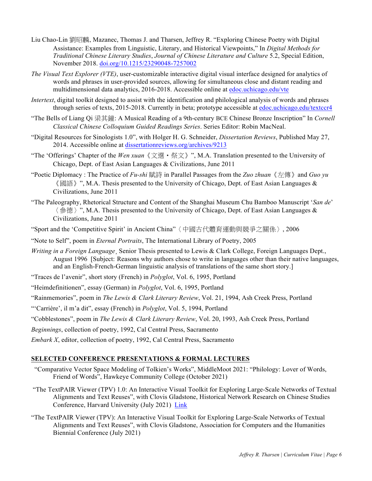- Liu Chao-Lin 劉昭麟, Mazanec, Thomas J. and Tharsen, Jeffrey R. "Exploring Chinese Poetry with Digital Assistance: Examples from Linguistic, Literary, and Historical Viewpoints," In *Digital Methods for Traditional Chinese Literary Studies*, *Journal of Chinese Literature and Culture* 5.2, Special Edition, November 2018. doi.org/10.1215/23290048-7257002
- *The Visual Text Explorer (VTE)*, user-customizable interactive digital visual interface designed for analytics of words and phrases in user-provided sources, allowing for simultaneous close and distant reading and multidimensional data analytics, 2016-2018. Accessible online at edoc.uchicago.edu/vte
- *Intertext*, digital toolkit designed to assist with the identification and philological analysis of words and phrases through series of texts, 2015-2018. Currently in beta; prototype accessible at edoc.uchicago.edu/textccr4
- "The Bells of Liang Qi 梁其鐘: A Musical Reading of a 9th-century BCE Chinese Bronze Inscription" In *Cornell Classical Chinese Colloquium Guided Readings Series*. Series Editor: Robin MacNeal.
- "Digital Resources for Sinologists 1.0", with Holger H. G. Schneider, *Dissertation Reviews*, Published May 27, 2014. Accessible online at dissertationreviews.org/archives/9213
- "The 'Offerings' Chapter of the *Wen xuan*《文選‧祭文》", M.A. Translation presented to the University of Chicago, Dept. of East Asian Languages & Civilizations, June 2011
- "Poetic Diplomacy : The Practice of *Fu-shi* 賦詩 in Parallel Passages from the *Zuo zhuan*《左傳》and *Guo yu*  $\langle \text{unif } n \rangle$  ", M.A. Thesis presented to the University of Chicago, Dept. of East Asian Languages & Civilizations, June 2011
- "The Paleography, Rhetorical Structure and Content of the Shanghai Museum Chu Bamboo Manuscript '*San de*' 〈參德〉", M.A. Thesis presented to the University of Chicago, Dept. of East Asian Languages & Civilizations, June 2011
- "Sport and the 'Competitive Spirit' in Ancient China"〈中國古代體育運動與競爭之關係〉, 2006
- "Note to Self", poem in *Eternal Portraits*, The International Library of Poetry, 2005
- *Writing in a Foreign Language*¸ Senior Thesis presented to Lewis & Clark College, Foreign Languages Dept., August 1996 [Subject: Reasons why authors chose to write in languages other than their native languages, and an English-French-German linguistic analysis of translations of the same short story.]
- "Traces de l'avenir", short story (French) in *Polyglot*, Vol. 6, 1995, Portland
- "Heimdefinitionen", essay (German) in *Polyglot*, Vol. 6, 1995, Portland
- "Rainmemories", poem in *The Lewis & Clark Literary Review*, Vol. 21, 1994, Ash Creek Press, Portland
- "'Carrière', il m'a dit", essay (French) in *Polyglot*, Vol. 5, 1994, Portland
- "Cobblestones", poem in *The Lewis & Clark Literary Review*, Vol. 20, 1993, Ash Creek Press, Portland
- *Beginnings*, collection of poetry, 1992, Cal Central Press, Sacramento
- *Embark X*, editor, collection of poetry, 1992, Cal Central Press, Sacramento

#### **SELECTED CONFERENCE PRESENTATIONS & FORMAL LECTURES**

- "Comparative Vector Space Modeling of Tolkien's Works", MiddleMoot 2021: "Philology: Lover of Words, Friend of Words", Hawkeye Community College (October 2021)
- "The TextPAIR Viewer (TPV) 1.0: An Interactive Visual Toolkit for Exploring Large-Scale Networks of Textual Alignments and Text Reuses", with Clovis Gladstone, Historical Network Research on Chinese Studies Conference, Harvard University (July 2021) Link
- "The TextPAIR Viewer (TPV): An Interactive Visual Toolkit for Exploring Large-Scale Networks of Textual Alignments and Text Reuses", with Clovis Gladstone, Association for Computers and the Humanities Biennial Conference (July 2021)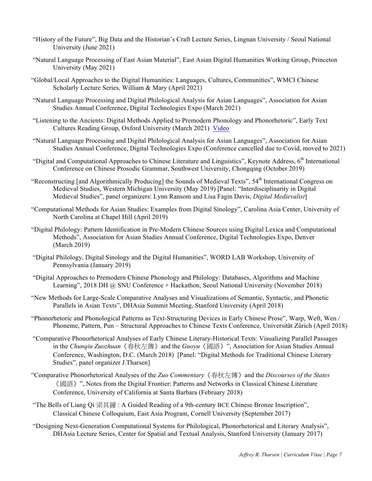- "History of the Future", Big Data and the Historian's Craft Lecture Series, Lingnan University / Seoul National University (June 2021)
- "Natural Language Processing of East Asian Material", East Asian Digital Humanities Working Group, Princeton University (May 2021)
- "Global/Local Approaches to the Digital Humanities: Languages, Cultures, Communities", WMCI Chinese Scholarly Lecture Series, William & Mary (April 2021)
- "Natural Language Processing and Digital Philological Analysis for Asian Languages", Association for Asian Studies Annual Conference, Digital Technologies Expo (March 2021)
- "Listening to the Ancients: Digital Methods Applied to Premodern Phonology and Phonorhetoric", Early Text Cultures Reading Group, Oxford University (March 2021) Video
- "Natural Language Processing and Digital Philological Analysis for Asian Languages", Association for Asian Studies Annual Conference, Digital Technologies Expo (Conference cancelled due to Covid, moved to 2021)
- "Digital and Computational Approaches to Chinese Literature and Linguistics", Keynote Address, 6<sup>th</sup> International Conference on Chinese Prosodic Grammar, Southwest University, Chongqing (October 2019)
- "Reconstructing [and Algorithmically Producing] the Sounds of Medieval Texts", 54<sup>th</sup> International Congress on Medieval Studies, Western Michigan University (May 2019) [Panel: "Interdisciplinarity in Digital Medieval Studies", panel organizers: Lynn Ransom and Lisa Fagin Davis, *Digital Medievalist*]
- "Computational Methods for Asian Studies: Examples from Digital Sinology", Carolina Asia Center, University of North Carolina at Chapel Hill (April 2019)
- "Digital Philology: Pattern Identification in Pre-Modern Chinese Sources using Digital Lexica and Computational Methods", Association for Asian Studies Annual Conference, Digital Technologies Expo, Denver (March 2019)
- "Digital Philology, Digital Sinology and the Digital Humanities", WORD LAB Workshop, University of Pennsylvania (January 2019)
- "Digital Approaches to Premodern Chinese Phonology and Philology: Databases, Algorithms and Machine Learning", 2018 DH @ SNU Conference + Hackathon, Seoul National University (November 2018)
- "New Methods for Large-Scale Comparative Analyses and Visualizations of Semantic, Syntactic, and Phonetic Parallels in Asian Texts", DHAsia Summit Meeting, Stanford University (April 2018)
- "Phonorhetoric and Phonological Patterns as Text-Structuring Devices in Early Chinese Prose", Warp, Weft, Wen / Phoneme, Pattern, Pun – Structural Approaches to Chinese Texts Conference, Universität Zürich (April 2018)
- "Comparative Phonorhetorical Analyses of Early Chinese Literary-Historical Texts: Visualizing Parallel Passages in the *Chunqiu Zuozhuan*《春秋左傳》and the *Guoyu*《國語》", Association for Asian Studies Annual Conference, Washington, D.C. (March 2018) [Panel: "Digital Methods for Traditional Chinese Literary Studies", panel organizer J.Tharsen]
- "Comparative Phonorhetorical Analyses of the *Zuo Commentary*《春秋左傳》and the *Discourses of the States* 《國語》", Notes from the Digital Frontier: Patterns and Networks in Classical Chinese Literature Conference, University of California at Santa Barbara (February 2018)
- "The Bells of Liang Qi 梁其鐘 : A Guided Reading of a 9th-century BCE Chinese Bronze Inscription", Classical Chinese Colloquium, East Asia Program, Cornell University (September 2017)
- "Designing Next-Generation Computational Systems for Philological, Phonorhetorical and Literary Analysis", DHAsia Lecture Series, Center for Spatial and Textual Analysis, Stanford University (January 2017)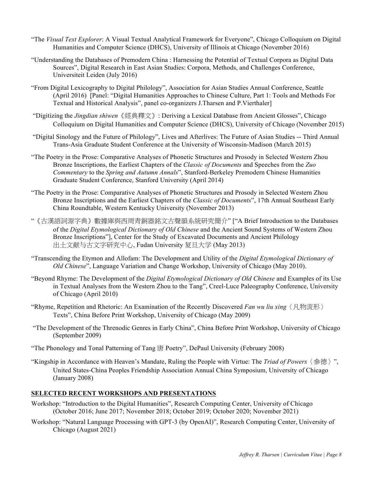- "The *Visual Text Explorer*: A Visual Textual Analytical Framework for Everyone", Chicago Colloquium on Digital Humanities and Computer Science (DHCS), University of Illinois at Chicago (November 2016)
- "Understanding the Databases of Premodern China : Harnessing the Potential of Textual Corpora as Digital Data Sources", Digital Research in East Asian Studies: Corpora, Methods, and Challenges Conference, Universiteit Leiden (July 2016)
- "From Digital Lexicography to Digital Philology", Association for Asian Studies Annual Conference, Seattle (April 2016) [Panel: "Digital Humanities Approaches to Chinese Culture, Part 1: Tools and Methods For Textual and Historical Analysis", panel co-organizers J.Tharsen and P.Vierthaler]
- "Digitizing the *Jingdian shiwen*《經典釋文》: Deriving a Lexical Database from Ancient Glosses", Chicago Colloquium on Digital Humanities and Computer Science (DHCS), University of Chicago (November 2015)
- "Digital Sinology and the Future of Philology", Lives and Afterlives: The Future of Asian Studies -- Third Annual Trans-Asia Graduate Student Conference at the University of Wisconsin-Madison (March 2015)
- "The Poetry in the Prose: Comparative Analyses of Phonetic Structures and Prosody in Selected Western Zhou Bronze Inscriptions, the Earliest Chapters of the *Classic of Documents* and Speeches from the *Zuo Commentary* to the *Spring and Autumn Annals*", Stanford-Berkeley Premodern Chinese Humanities Graduate Student Conference, Stanford University (April 2014)
- "The Poetry in the Prose: Comparative Analyses of Phonetic Structures and Prosody in Selected Western Zhou Bronze Inscriptions and the Earliest Chapters of the *Classic of Documents*", 17th Annual Southeast Early China Roundtable, Western Kentucky University (November 2013)
- "《古漢語詞源字典》數據庫與西周青銅器銘文古聲韻系統研究簡介" ["A Brief Introduction to the Databases of the *Digital Etymological Dictionary of Old Chinese* and the Ancient Sound Systems of Western Zhou Bronze Inscriptions"], Center for the Study of Excavated Documents and Ancient Philology 出土文献与古文字研究中心, Fudan University 复旦大学 (May 2013)
- "Transcending the Etymon and Allofam: The Development and Utility of the *Digital Etymological Dictionary of Old Chinese*", Language Variation and Change Workshop, University of Chicago (May 2010).
- "Beyond Rhyme: The Development of the *Digital Etymological Dictionary of Old Chinese* and Examples of its Use in Textual Analyses from the Western Zhou to the Tang", Creel-Luce Paleography Conference, University of Chicago (April 2010)
- "Rhyme, Repetition and Rhetoric: An Examination of the Recently Discovered *Fan wu liu xing*〈凡物流形〉 Texts", China Before Print Workshop, University of Chicago (May 2009)
- "The Development of the Threnodic Genres in Early China", China Before Print Workshop, University of Chicago (September 2009)
- "The Phonology and Tonal Patterning of Tang 唐 Poetry", DePaul University (February 2008)
- "Kingship in Accordance with Heaven's Mandate, Ruling the People with Virtue: The *Triad of Powers*〈參德〉", United States-China Peoples Friendship Association Annual China Symposium, University of Chicago (January 2008)

## **SELECTED RECENT WORKSHOPS AND PRESENTATIONS**

- Workshop: "Introduction to the Digital Humanities", Research Computing Center, University of Chicago (October 2016; June 2017; November 2018; October 2019; October 2020; November 2021)
- Workshop: "Natural Language Processing with GPT-3 (by OpenAI)", Research Computing Center, University of Chicago (August 2021)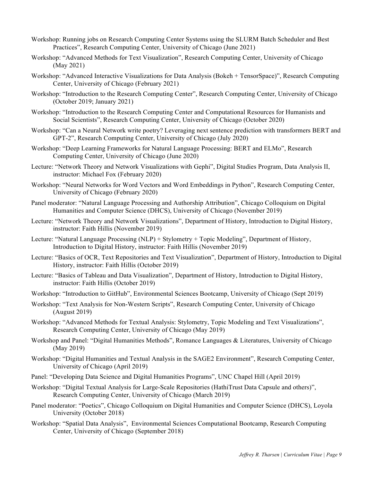- Workshop: Running jobs on Research Computing Center Systems using the SLURM Batch Scheduler and Best Practices", Research Computing Center, University of Chicago (June 2021)
- Workshop: "Advanced Methods for Text Visualization", Research Computing Center, University of Chicago (May 2021)
- Workshop: "Advanced Interactive Visualizations for Data Analysis (Bokeh + TensorSpace)", Research Computing Center, University of Chicago (February 2021)
- Workshop: "Introduction to the Research Computing Center", Research Computing Center, University of Chicago (October 2019; January 2021)
- Workshop: "Introduction to the Research Computing Center and Computational Resources for Humanists and Social Scientists", Research Computing Center, University of Chicago (October 2020)
- Workshop: "Can a Neural Network write poetry? Leveraging next sentence prediction with transformers BERT and GPT-2", Research Computing Center, University of Chicago (July 2020)
- Workshop: "Deep Learning Frameworks for Natural Language Processing: BERT and ELMo", Research Computing Center, University of Chicago (June 2020)
- Lecture: "Network Theory and Network Visualizations with Gephi", Digital Studies Program, Data Analysis II, instructor: Michael Fox (February 2020)
- Workshop: "Neural Networks for Word Vectors and Word Embeddings in Python", Research Computing Center, University of Chicago (February 2020)
- Panel moderator: "Natural Language Processing and Authorship Attribution", Chicago Colloquium on Digital Humanities and Computer Science (DHCS), University of Chicago (November 2019)
- Lecture: "Network Theory and Network Visualizations", Department of History, Introduction to Digital History, instructor: Faith Hillis (November 2019)
- Lecture: "Natural Language Processing (NLP) + Stylometry + Topic Modeling", Department of History, Introduction to Digital History, instructor: Faith Hillis (November 2019)
- Lecture: "Basics of OCR, Text Repositories and Text Visualization", Department of History, Introduction to Digital History, instructor: Faith Hillis (October 2019)
- Lecture: "Basics of Tableau and Data Visualization", Department of History, Introduction to Digital History, instructor: Faith Hillis (October 2019)
- Workshop: "Introduction to GitHub", Environmental Sciences Bootcamp, University of Chicago (Sept 2019)
- Workshop: "Text Analysis for Non-Western Scripts", Research Computing Center, University of Chicago (August 2019)
- Workshop: "Advanced Methods for Textual Analysis: Stylometry, Topic Modeling and Text Visualizations", Research Computing Center, University of Chicago (May 2019)
- Workshop and Panel: "Digital Humanities Methods", Romance Languages & Literatures, University of Chicago (May 2019)
- Workshop: "Digital Humanities and Textual Analysis in the SAGE2 Environment", Research Computing Center, University of Chicago (April 2019)
- Panel: "Developing Data Science and Digital Humanities Programs", UNC Chapel Hill (April 2019)
- Workshop: "Digital Textual Analysis for Large-Scale Repositories (HathiTrust Data Capsule and others)", Research Computing Center, University of Chicago (March 2019)
- Panel moderator: "Poetics", Chicago Colloquium on Digital Humanities and Computer Science (DHCS), Loyola University (October 2018)
- Workshop: "Spatial Data Analysis", Environmental Sciences Computational Bootcamp, Research Computing Center, University of Chicago (September 2018)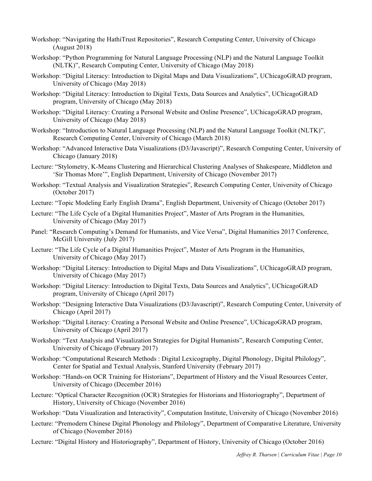- Workshop: "Navigating the HathiTrust Repositories", Research Computing Center, University of Chicago (August 2018)
- Workshop: "Python Programming for Natural Language Processing (NLP) and the Natural Language Toolkit (NLTK)", Research Computing Center, University of Chicago (May 2018)
- Workshop: "Digital Literacy: Introduction to Digital Maps and Data Visualizations", UChicagoGRAD program, University of Chicago (May 2018)
- Workshop: "Digital Literacy: Introduction to Digital Texts, Data Sources and Analytics", UChicagoGRAD program, University of Chicago (May 2018)
- Workshop: "Digital Literacy: Creating a Personal Website and Online Presence", UChicagoGRAD program, University of Chicago (May 2018)
- Workshop: "Introduction to Natural Language Processing (NLP) and the Natural Language Toolkit (NLTK)", Research Computing Center, University of Chicago (March 2018)
- Workshop: "Advanced Interactive Data Visualizations (D3/Javascript)", Research Computing Center, University of Chicago (January 2018)
- Lecture: "Stylometry, K-Means Clustering and Hierarchical Clustering Analyses of Shakespeare, Middleton and 'Sir Thomas More'", English Department, University of Chicago (November 2017)
- Workshop: "Textual Analysis and Visualization Strategies", Research Computing Center, University of Chicago (October 2017)
- Lecture: "Topic Modeling Early English Drama", English Department, University of Chicago (October 2017)
- Lecture: "The Life Cycle of a Digital Humanities Project", Master of Arts Program in the Humanities, University of Chicago (May 2017)
- Panel: "Research Computing's Demand for Humanists, and Vice Versa", Digital Humanities 2017 Conference, McGill University (July 2017)
- Lecture: "The Life Cycle of a Digital Humanities Project", Master of Arts Program in the Humanities, University of Chicago (May 2017)
- Workshop: "Digital Literacy: Introduction to Digital Maps and Data Visualizations", UChicagoGRAD program, University of Chicago (May 2017)
- Workshop: "Digital Literacy: Introduction to Digital Texts, Data Sources and Analytics", UChicagoGRAD program, University of Chicago (April 2017)
- Workshop: "Designing Interactive Data Visualizations (D3/Javascript)", Research Computing Center, University of Chicago (April 2017)
- Workshop: "Digital Literacy: Creating a Personal Website and Online Presence", UChicagoGRAD program, University of Chicago (April 2017)
- Workshop: "Text Analysis and Visualization Strategies for Digital Humanists", Research Computing Center, University of Chicago (February 2017)
- Workshop: "Computational Research Methods : Digital Lexicography, Digital Phonology, Digital Philology", Center for Spatial and Textual Analysis, Stanford University (February 2017)
- Workshop: "Hands-on OCR Training for Historians", Department of History and the Visual Resources Center, University of Chicago (December 2016)
- Lecture: "Optical Character Recognition (OCR) Strategies for Historians and Historiography", Department of History, University of Chicago (November 2016)
- Workshop: "Data Visualization and Interactivity", Computation Institute, University of Chicago (November 2016)
- Lecture: "Premodern Chinese Digital Phonology and Philology", Department of Comparative Literature, University of Chicago (November 2016)
- Lecture: "Digital History and Historiography", Department of History, University of Chicago (October 2016)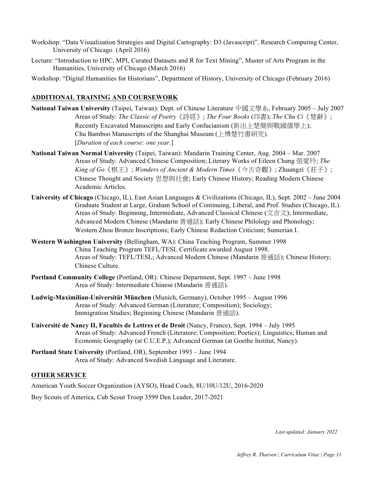- Workshop: "Data Visualization Strategies and Digital Cartography: D3 (Javascript)", Research Computing Center, University of Chicago (April 2016)
- Lecture: "Introduction to HPC, MPI, Curated Datasets and R for Text Mining", Master of Arts Program in the Humanities, University of Chicago (March 2016)

Workshop: "Digital Humanities for Historians", Department of History, University of Chicago (February 2016)

#### **ADDITIONAL TRAINING AND COURSEWORK**

- **National Taiwan University** (Taipei, Taiwan): Dept. of Chinese Literature 中國文學系, February 2005 July 2007 Areas of Study: *The Classic of Poetry*《詩經》; *The Four Books* (四書); *The Chu Ci*《楚辭》; Recently Excavated Manuscripts and Early Confucianism (新出土楚簡與戰國儒學上); Chu Bamboo Manuscripts of the Shanghai Museum (上博楚竹書研究). [*Duration of each course: one year.*]
- **National Taiwan Normal University** (Taipei, Taiwan): Mandarin Training Center, Aug. 2004 Mar. 2007 Areas of Study: Advanced Chinese Composition; Literary Works of Eileen Chang 張愛玲; *The King of Go*《棋王》; *Wonders of Ancient & Modern Times*《今古奇觀》; Zhuangzi《莊子》; Chinese Thought and Society 思想與社會; Early Chinese History; Reading Modern Chinese Academic Articles.
- **University of Chicago** (Chicago, IL), East Asian Languages & Civilizations (Chicago, IL), Sept. 2002 June 2004 Graduate Student at Large, Graham School of Continuing, Liberal, and Prof. Studies (Chicago, IL). Areas of Study: Beginning, Intermediate, Advanced Classical Chinese  $(\overline{\chi} \overrightarrow{\pi} \overrightarrow{\chi})$ ; Intermediate, Advanced Modern Chinese (Mandarin 普通話); Early Chinese Philology and Phonology; Western Zhou Bronze Inscriptions; Early Chinese Redaction Criticism; Sumerian I.
- **Western Washington University** (Bellingham, WA): China Teaching Program, Summer 1998 China Teaching Program TEFL/TESL Certificate awarded August 1998. Areas of Study: TEFL/TESL; Advanced Modern Chinese (Mandarin 普通話); Chinese History; Chinese Culture.
- **Portland Community College** (Portland, OR): Chinese Department, Sept. 1997 June 1998 Area of Study: Intermediate Chinese (Mandarin 普通話).
- **Ludwig-Maximilian-Universität München** (Munich, Germany), October 1995 August 1996 Areas of Study: Advanced German (Literature; Composition); Sociology; Immigration Studies; Beginning Chinese (Mandarin 普通話).
- **Université de Nancy II, Facultés de Lettres et de Droit** (Nancy, France), Sept. 1994 July 1995 Areas of Study: Advanced French (Literature; Composition; Poetics); Linguistics; Human and Economic Geography (at C.U.E.P.); Advanced German (at Goethe Institut, Nancy).
- **Portland State University** (Portland, OR), September 1993 June 1994 Area of Study: Advanced Swedish Language and Literature.

#### **OTHER SERVICE**

American Youth Soccer Organization (AYSO), Head Coach, 8U/10U/12U, 2016-2020

Boy Scouts of America, Cub Scout Troop 3599 Den Leader, 2017-2021

*Last updated: January 2022*